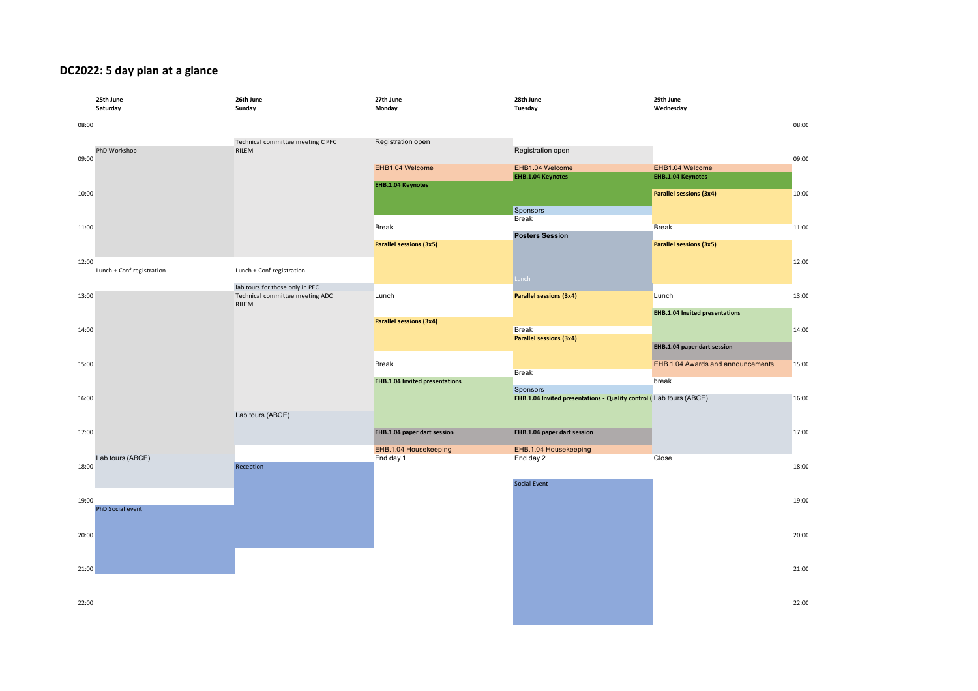## **DC2022: 5 day plan at a glance**

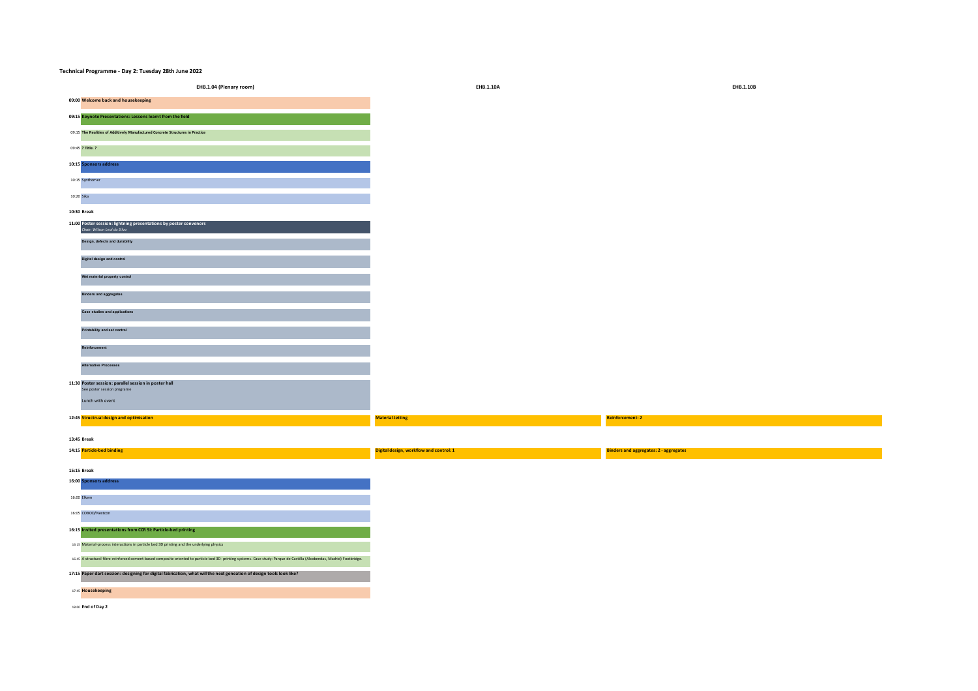| 09:00 Welcome back and housekeeping                                                                                                                                       |                                         |                                               |
|---------------------------------------------------------------------------------------------------------------------------------------------------------------------------|-----------------------------------------|-----------------------------------------------|
| 09:15 Keynote Presentations: Lessons learnt from the field                                                                                                                |                                         |                                               |
| 09:15 The Realities of Additively Manufactured Concrete Structures in Practice                                                                                            |                                         |                                               |
| 09:45 ? Title. ?                                                                                                                                                          |                                         |                                               |
| 10:15 Sponsors address                                                                                                                                                    |                                         |                                               |
| 10:15 Synthomer                                                                                                                                                           |                                         |                                               |
| 10:20 Sika                                                                                                                                                                |                                         |                                               |
| 10:30 Break                                                                                                                                                               |                                         |                                               |
| 11:00 Poster session: lightning presentations by poster convenors<br>Chair: Wilson Leal da Silva                                                                          |                                         |                                               |
| Design, defects and durability                                                                                                                                            |                                         |                                               |
| Digital design and control                                                                                                                                                |                                         |                                               |
| Wet material property control                                                                                                                                             |                                         |                                               |
| <b>Binders and aggregates</b>                                                                                                                                             |                                         |                                               |
| Case studies and applications                                                                                                                                             |                                         |                                               |
| Printability and set control                                                                                                                                              |                                         |                                               |
| Reinforcement                                                                                                                                                             |                                         |                                               |
| Alternative Processes                                                                                                                                                     |                                         |                                               |
| 11:30 Poster session: parallel session in poster hall<br>See poster session programe                                                                                      |                                         |                                               |
| Lunch with event                                                                                                                                                          |                                         |                                               |
| 12:45 Structrual design and optimisation                                                                                                                                  | <b>Material Jetting</b>                 | <b>Reinforcement: 2</b>                       |
| 13:45 Break                                                                                                                                                               |                                         |                                               |
| 14:15 Particle-bed binding                                                                                                                                                | Digital design, workflow and control: 1 | <b>Binders and aggregates: 2 - aggregates</b> |
| 15:15 Break                                                                                                                                                               |                                         |                                               |
| 16:00 Sponsors address                                                                                                                                                    |                                         |                                               |
| 16:00 Elkem                                                                                                                                                               |                                         |                                               |
| 16:05 COBOD/Nextcon                                                                                                                                                       |                                         |                                               |
| 16:15 Invited presentations from CCR SI: Particle-bed printing                                                                                                            |                                         |                                               |
| 16:15 Material-process interactions in particle bed 3D printing and the underlying physics                                                                                |                                         |                                               |
| 16:45 A structural fibre-reinforced cement-based composite oriented to particle bed 3D- printing systems. Case study: Parque de Castilla (Alcobendas, Madrid) Footbridge. |                                         |                                               |
| 17:15 Paper dart session: designing for digital fabrication, what will the next geneation of design tools look like?                                                      |                                         |                                               |
| 17:45 Housekeeping                                                                                                                                                        |                                         |                                               |
|                                                                                                                                                                           |                                         |                                               |

**Technical Programme - Day 2: Tuesday 28th June 2022**

**EHB.1.04 (Plenary room) EHB.1.10A EHB.1.10B**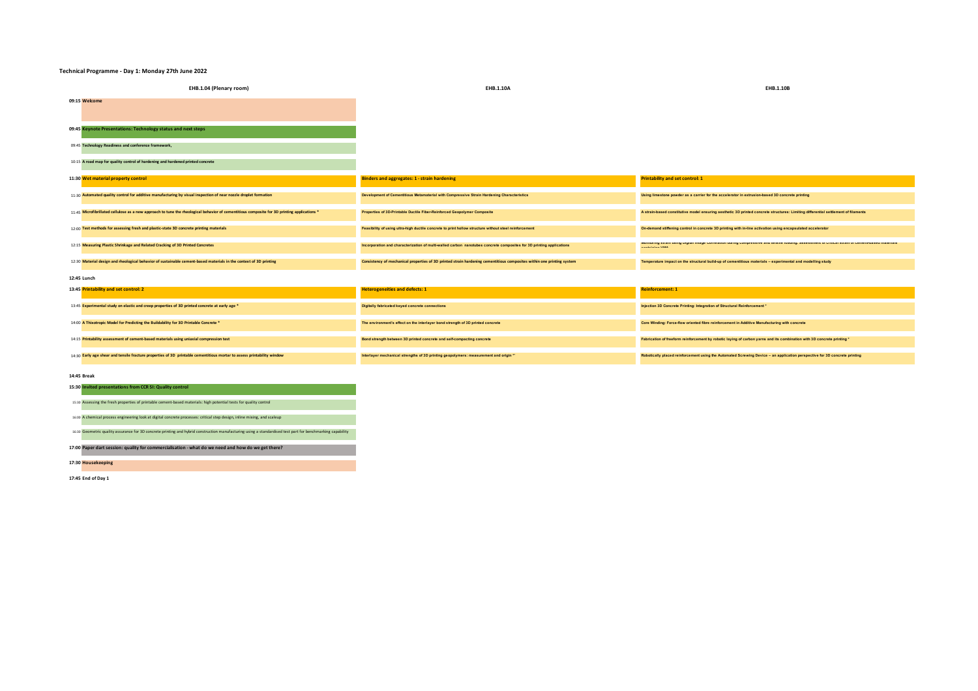## **Technical Programme - Day 1: Monday 27th June 2022**

| EHB.1.04 (Plenary room)                                                                                                                      | EHB.1.10A                                                                                                              | <b>EHB.1.10B</b>                                                                                                                                                     |
|----------------------------------------------------------------------------------------------------------------------------------------------|------------------------------------------------------------------------------------------------------------------------|----------------------------------------------------------------------------------------------------------------------------------------------------------------------|
| 09:15 Welcome                                                                                                                                |                                                                                                                        |                                                                                                                                                                      |
| 09:45 Keynote Presentations: Technology status and next steps                                                                                |                                                                                                                        |                                                                                                                                                                      |
| 09:45 Technology Readiness and conference framework,                                                                                         |                                                                                                                        |                                                                                                                                                                      |
| 10:15 A road map for quality control of hardening and hardened printed concrete                                                              |                                                                                                                        |                                                                                                                                                                      |
| 11:30 Wet material property control                                                                                                          | <b>Binders and aggregates: 1 - strain hardening</b>                                                                    | <b>Printability and set control: 1</b>                                                                                                                               |
| 11:30 Automated quality control for additive manufacturing by visual inspection of near nozzle droplet formation                             | Development of Cementitious Metamaterial with Compressive Strain Hardening Characteristics                             | Using limestone powder as a carrier for the accelerator in extrusion-based 3D concrete printing                                                                      |
| 11:45 Microfibrillated cellulose as a new approach to tune the rheological behavior of cementitious composite for 3D printing applications * | Properties of 3D-Printable Ductile Fiber-Reinforced Geopolymer Composite                                               | A strain-based constitutive model ensuring aesthetic 3D printed concrete structures: Limiting differential settlement of filaments                                   |
| 12:00 Test methods for assessing fresh and plastic-state 3D concrete printing materials                                                      | Feasibility of using ultra-high ductile concrete to print hollow structure without steel reinforcement                 | On-demand stiffening control in concrete 3D printing with in-line activation using encapsulated accelerator                                                          |
| 12:15 Measuring Plastic Shrinkage and Related Cracking of 3D Printed Concretes                                                               | Incorporation and characterization of multi-walled carbon nanotubes concrete composites for 3D printing applications   | monitoring strain using Digital image Correlation during compressive and tensile loading: assessment of critical strain of cement-based materials<br>nantalalan With |
| 12:30 Material design and rheological behavior of sustainable cement-based materials in the context of 3D printing                           | Consistency of mechanical properties of 3D printed strain hardening cementitious composites within one printing system | Temperature impact on the structural build-up of cementitious materials - experimental and modelling study                                                           |
| 12:45 Lunch                                                                                                                                  |                                                                                                                        |                                                                                                                                                                      |
| 13:45 Printability and set control: 2                                                                                                        | <b>Heterogeneities and defects: 1</b>                                                                                  | <b>Reinforcement: 1</b>                                                                                                                                              |
| 13:45 Experimental study on elastic and creep properties of 3D printed concrete at early age *                                               | Digitally fabricated keyed concrete connections                                                                        | Injection 3D Concrete Printing: Integration of Structural Reinforcement *                                                                                            |
| 14:00 A Thixotropic Model for Predicting the Buildability for 3D Printable Concrete *                                                        | The environment's effect on the interlayer bond strength of 3D printed concrete                                        | Core Winding: Force-flow oriented fibre reinforcement in Additive Manufacturing with concrete                                                                        |
| 14:15 Printability assessment of cement-based materials using unlaxial compression test                                                      | Bond strength between 3D printed concrete and self-compacting concrete                                                 | Fabrication of freeform reinforcement by robotic laying of carbon yarns and its combination with 3D concrete printing *                                              |
| 14:30 Early age shear and tensile fracture properties of 3D printable cementitious mortar to assess printability window                      | Interlayer mechanical strengths of 3D printing geopolymers: measurement and origin **                                  | Robotically placed reinforcement using the Automated Screwing Device - an application perspective for 3D concrete printing                                           |
| 14:45 Break                                                                                                                                  |                                                                                                                        |                                                                                                                                                                      |

**15:30 Invited presentations from CCR SI: Quality control** 15:30 Assessing the fresh properties of printable cement-based materials: high potential tests for quality control

16:00 A chemical process engineering look at digital concrete processes: critical step design, inline mixing, and scaleup

16:30 Geometric quality assurance for 3D concrete printing and hybrid construction manufacturing using a standardised test part for benchmarking capability

**17:00 Paper dart session: quality for commercialisation - what do we need and how do we get there?**

**17:30 Housekeeping**

**17:45 End of Day 1**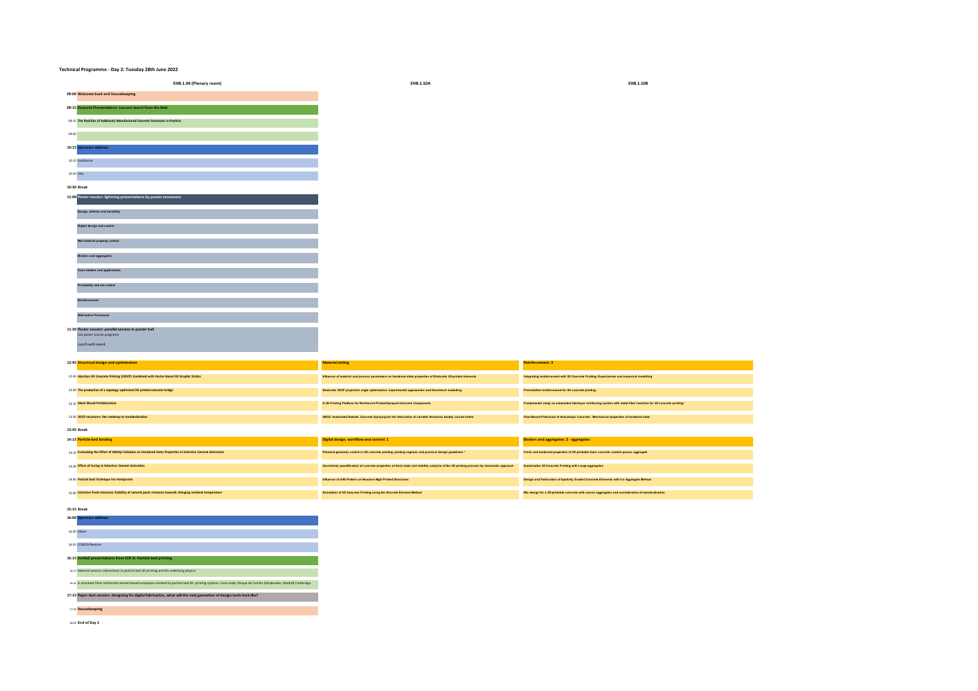| 15:15 Break                                                                                                                                                               |
|---------------------------------------------------------------------------------------------------------------------------------------------------------------------------|
| 16:00 Sponsors address                                                                                                                                                    |
| 16:00 Filiem                                                                                                                                                              |
| 16:05 COBOD/Nextcon                                                                                                                                                       |
| 16:15 Invited presentations from CCR SI: Particle-bed printing                                                                                                            |
| 16:15 Material-process interactions in particle bed 3D printing and the underlying physics                                                                                |
| 16:45 A structural fibre-reinforced cement-based composite oriented to particle bed 3D- printing systems. Case study: Parque de Castilla (Alcobendas, Madrid) Footbridge. |
| 17:15 Paper dart session: designing for digital fabrication, what will the next geneation of design tools look like?                                                      |
| 17:45 Housekeeping                                                                                                                                                        |
| 18:00 End of Day 2                                                                                                                                                        |

|             | 13:00 The production of a topology-optimized 3D-printed concrete bridge                                     | Shotcrete 3DCP projection angle optimization: experimental approaches and theoretical modelling                                           | Preinstalled reinforcement for 3D concrete printing                                                               |
|-------------|-------------------------------------------------------------------------------------------------------------|-------------------------------------------------------------------------------------------------------------------------------------------|-------------------------------------------------------------------------------------------------------------------|
|             | 13:15 Mesh Mould Prefabrication                                                                             | A 3D Printing Platform for Reinforced Printed-Sprayed Concrete Components                                                                 | Fundamental study on automated interlayer reinforcing system with metal fiber insertion for 3D concrete printing" |
|             | 13:30 3DCP structures: the roadmap to standardization                                                       | ARCS: Automated Robotic Concrete Spraying for the fabrication of variable thickness doubly curved shells                                  | Flow-Based Pultrusion of Anisotropic Concrete : Mechanical properties at hardened state                           |
| 13:45 Break |                                                                                                             |                                                                                                                                           |                                                                                                                   |
|             | 14:15 Particle-bed binding                                                                                  | Digital design, workflow and control: 1                                                                                                   | <b>Binders and aggregates: 2 - aggregates</b>                                                                     |
|             | 14:15 Evaluating the Effect of Methyl Cellulose on Hardened State Properties in Selective Cement Activation | Filament geometry control in 3D concrete printing: printing regimes and practical design guidelines *                                     | Fresh and hardened properties of 3D printable foam concrete contain porous aggregate                              |
|             | 14:30 Effect of Curing in Selective Cement Activation                                                       | Uncertainty quantification of concrete properties at fresh state and stability analysis of the 3D printing process by stochastic approach | Sustainable 3D Concrete Printing with Large-aggregates                                                            |
|             | 14:45 Particle Bed Technique For Hempcrete                                                                  | Influence of Infill Pattern on Reactive MgO Printed Structures                                                                            | Design and Fabrication of Spatially Graded Concrete Elements with Ice Aggregate Method                            |
|             | 15:00 Selective Paste Intrusion: Stability of cement paste mixtures towards changing ambient temperature    | Simulation of 3D Concrete Printing using the Discrete Element Method                                                                      | Mix design for a 3D-printable concrete with coarse aggregates and consideration of standardisation                |

**12:45 Structrual design and optimisation Material Jetting Reinforcement: 2**

12:45 **Injection 3D Concrete Printing (I3DCP) Combined with Vector-based 3D Graphic Statics Influence of material and process parameters on hardened state properties of Shotcrete 3D-printed elements Integrating reinforcement with 3D Concrete Printing: Experiments and numerical modelling**

| <b>Alternative Pronesses</b>                          |
|-------------------------------------------------------|
|                                                       |
| 11:30 Poster session: parallel session in poster hall |
| See poster session programe                           |
| Lunch with event                                      |

|            | 10:15 Synthomer                                                   |
|------------|-------------------------------------------------------------------|
|            |                                                                   |
| 10:20 Sika |                                                                   |
|            | 10:30 Break                                                       |
|            | 11:00 Poster session: lightning presentations by poster convenors |
|            |                                                                   |
|            | Design, defects and durability                                    |
|            |                                                                   |
|            | Digital design and control                                        |
|            |                                                                   |
|            | Wet material property control                                     |
|            |                                                                   |
|            | <b>Binders and aggregates</b>                                     |
|            |                                                                   |
|            | <b>Case studies and applications</b>                              |
|            |                                                                   |
|            | Printability and set control                                      |
|            |                                                                   |
|            | Reinforcement                                                     |

**Technical Programme - Day 2: Tuesday 28th June 2022**

**09:15 Keynote Presentations: Lessons learnt from the field** 09:15 **The Realities of Additively Manufactured Concrete Structures in Practice**

09:45 **10:15 Sponsors address**

**EHB.1.04 (Plenary room) EHB.1.10A EHB.1.10B 09:00 Welcome back and housekeeping**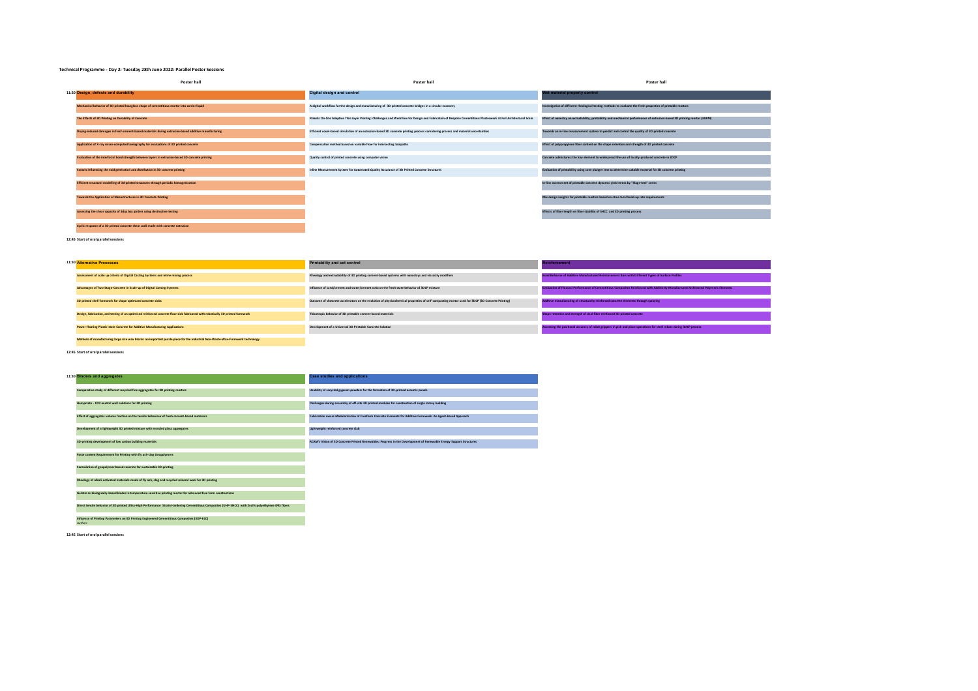## **Technical Programme - Day 2: Tuesday 28th June 2022: Parallel Poster Sessions**

| Poster hall                                                                                          | <b>Poster hall</b>                                                                                                                                               | Poster hall                                                                                                               |
|------------------------------------------------------------------------------------------------------|------------------------------------------------------------------------------------------------------------------------------------------------------------------|---------------------------------------------------------------------------------------------------------------------------|
| 11:30 Design, defects and durability                                                                 | <b>Digital design and control</b>                                                                                                                                | Wet material property control                                                                                             |
| Mechanical behavior of 3D printed hourglass shape of cementitious mortar into carrier liquid         | A digital workflow for the design and manufacturing of 3D printed concrete bridges in a circular economy                                                         | Investigation of different rheological testing methods to evaluate the fresh properties of printable mortars              |
| The Effects of 3D Printing on Durability of Concrete                                                 | Robotic On-Site Adaptive Thin Layer Printing: Challenges and Workflow for Design and Fabrication of Bespoke Cementitious Plasterwork at Full Architectural Scale | Effect of nanoclay on extrudability, printability and mechanical performance of extrusion-based 3D printing mortar (3DPM) |
| Drying-induced damages in fresh cement-based materials during extrusion-based additive manufacturing | Efficient voxel-based simulation of an extrusion-based 3D concrete printing process considering process and material uncertainties                               | Towards an in-line measurement system to predict and control the quality of 3D printed concrete                           |
| Application of X-ray micro-computed tomography for evaluations of 3D printed concrete                | Compensation method based on variable flow for intersecting toolpaths                                                                                            | Effect of polypropylene fiber content on the shape retention and strength of 3D printed concrete                          |
| Evaluation of the interfacial bond strength between layers in extrusion-based 3D concrete printing   | Quality control of printed concrete using computer vision                                                                                                        | Concrete admixtures: the key element to widespread the use of locally produced concrete in 3DCP                           |
| Factors influencing the void generation and distribution in 3D concrete printing                     | Inline Measurement System for Automated Quality Assurance of 3D Printed Concrete Structures                                                                      | Evaluation of printability using cone plunger test to determine suitable material for 3D concrete printing                |
| Efficient structural modelling of 3d-printed structures through periodic homogenization              |                                                                                                                                                                  | In-line assessment of printable concrete dynamic yield stress by "Slugs-test" series                                      |
| Towards the Application of Mesostructures in 3D Concrete Printing                                    |                                                                                                                                                                  | Mix design insights for printable mortars based on struc-tural build-up rate requirements                                 |
| Assessing the shear capacity of 3dcp box girders using destructive testing                           |                                                                                                                                                                  | Effects of fiber length on fiber stability of SHCC and 3D printing process                                                |
| Cyclic response of a 3D printed concrete shear wall made with concrete extrusion                     |                                                                                                                                                                  |                                                                                                                           |

**12:45 Start of oral parallel sessions**

| 11:30 Alternative Processes                                                                                                     | Printability and set control                                                                                                                    | nforcement                                                                                                                           |
|---------------------------------------------------------------------------------------------------------------------------------|-------------------------------------------------------------------------------------------------------------------------------------------------|--------------------------------------------------------------------------------------------------------------------------------------|
| Assessment of scale up criteria of Digital Casting Systems and inline mixing process                                            | Rheology and extrudability of 3D printing cement-based systems with nanoclays and viscosity modifiers                                           | Bond Behavior of Additive Manufactured Reinforcement Bars with Different Types of Surface Profiles                                   |
| Advantages of Two-Stage-Concrete in Scale-up of Digital Casting Systems                                                         | Influence of sand/cement and water/cement ratio on the fresh state behavior of 3DCP mixture                                                     | Evaluation of Flexural Performance of Cementitious Composites Reinforced with Additively Manufactured Architected Polymeric Elements |
| 3D printed shell formwork for shape optimized concrete slabs                                                                    | Outcome of shotcrete accelerators on the evolution of physicochemical properties of self-compacting mortar used for 3DCP (3D Concrete Printing) | Additive manufacturing of structurally reinforced concrete elements through spraying                                                 |
| Design, fabrication, and testing of an optimised reinforced concrete floor slab fabricated with robotically 3D printed formwork | Thixotropic behavior of 3D printable cement-based materials                                                                                     | Shape retention and strength of sisal fiber reinforced 3D printed concrete                                                           |
| Power Floating Plastic-state Concrete for Additive Manufacturing Applications                                                   | Development of a Universal 3D Printable Concrete Solution                                                                                       | Issessing the positional accuracy of robot grippers in pick and place operations for steel rebars during 3DCP process                |
| Methods of manufacturing large size wax blocks; an important puzzle piece for the industrial Non-Waste-Wax-Formwork technology  |                                                                                                                                                 |                                                                                                                                      |

**12:45 Start of oral parallel sessions**

| 11:30 Binders and aggregates                                                                                                                         | <b>Case studies and applications</b>                                                                                |
|------------------------------------------------------------------------------------------------------------------------------------------------------|---------------------------------------------------------------------------------------------------------------------|
| Comparative study of different recycled fine aggregates for 3D printing mortars                                                                      | Usability of recycled gypsum powders for the formation of 3D-printed acoustic panels                                |
| Hempcrete - CO2 neutral wall solutions for 3D printing                                                                                               | Challenzes during assembly of off-site 3D printed modules for construction of single storey building                |
| Effect of aggregates volume fraction on the tensile behaviour of fresh cement-based materials                                                        | Fabrication aware Modularization of Freeform Concrete Elements for Additive Formwork: An Agent-based Approach       |
| Development of a lightweight 3D printed mixture with recycled glass aggregates                                                                       | Lightweight reinforced concrete slab                                                                                |
| 3D-printing development of low carbon building materials                                                                                             | RCAM's Vision of 3D Concrete Printed Renewables: Progress in the Development of Renewable Energy Support Structures |
| Paste content Requirement for Printing with fly ash-slag Geogolymers                                                                                 |                                                                                                                     |
| Formulation of geopolymer based concrete for sustainable 3D printing                                                                                 |                                                                                                                     |
| Rheology of alkali-activated materials made of fly ash, slag and recycled mineral wool for 3D printing                                               |                                                                                                                     |
| Gelatin as biologically-based binder in temperature-sensitive printing mortar for advanced free form constructions                                   |                                                                                                                     |
| Direct tensile behavior of 3D printed Ultra-High Performance Strain Hardening Cementitious Composites (UHP-SHCC) with 2vol% polyethylene (PE) fibers |                                                                                                                     |
| Influence of Printing Parameters on 3D Printing Engineered Cementitious Composites (3DP-ECC)<br>Authors                                              |                                                                                                                     |

**12:45 Start of oral parallel sessions**